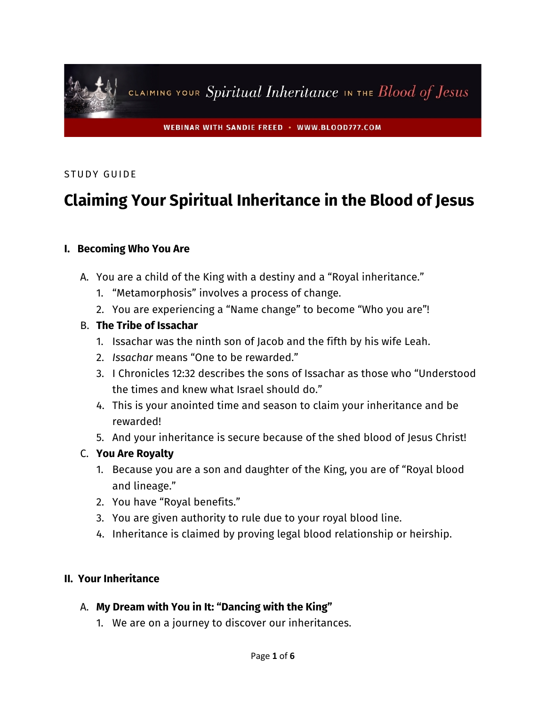

### STUDY GUIDE

# **Claiming Your Spiritual Inheritance in the Blood of Jesus**

#### **I. Becoming Who You Are**

- A. You are a child of the King with a destiny and a "Royal inheritance."
	- 1. "Metamorphosis" involves a process of change.
	- 2. You are experiencing a "Name change" to become "Who you are"!

#### B. **The Tribe of Issachar**

- 1. Issachar was the ninth son of Jacob and the fifth by his wife Leah.
- 2. *Issachar* means "One to be rewarded."
- 3. I Chronicles 12:32 describes the sons of Issachar as those who "Understood the times and knew what Israel should do."
- 4. This is your anointed time and season to claim your inheritance and be rewarded!
- 5. And your inheritance is secure because of the shed blood of Jesus Christ!

#### C. **You Are Royalty**

- 1. Because you are a son and daughter of the King, you are of "Royal blood and lineage."
- 2. You have "Royal benefits."
- 3. You are given authority to rule due to your royal blood line.
- 4. Inheritance is claimed by proving legal blood relationship or heirship.

#### **II. Your Inheritance**

- A. **My Dream with You in It: "Dancing with the King"**
	- 1. We are on a journey to discover our inheritances.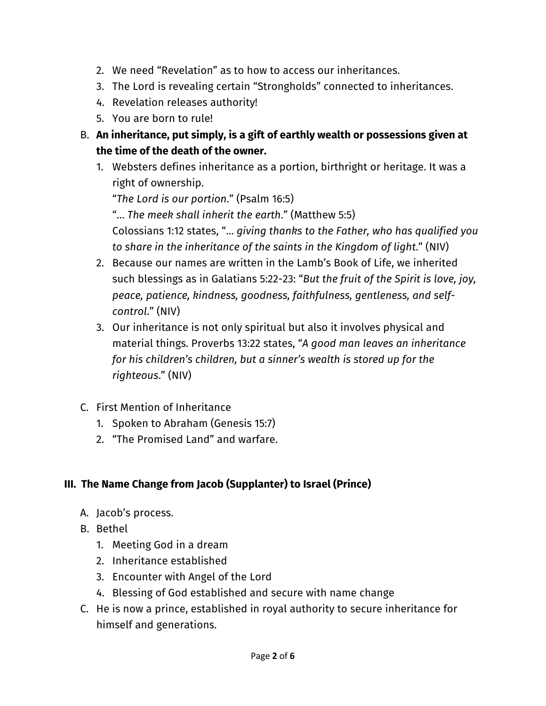- 2. We need "Revelation" as to how to access our inheritances.
- 3. The Lord is revealing certain "Strongholds" connected to inheritances.
- 4. Revelation releases authority!
- 5. You are born to rule!
- B. **An inheritance, put simply, is a gift of earthly wealth or possessions given at the time of the death of the owner.**
	- 1. Websters defines inheritance as a portion, birthright or heritage. It was a right of ownership.

"*The Lord is our portion*." (Psalm 16:5)

"… *The meek shall inherit the earth*." (Matthew 5:5)

Colossians 1:12 states, "… *giving thanks to the Father, who has qualified you to share in the inheritance of the saints in the Kingdom of light*." (NIV)

- 2. Because our names are written in the Lamb's Book of Life, we inherited such blessings as in Galatians 5:22-23: "*But the fruit of the Spirit is love, joy, peace, patience, kindness, goodness, faithfulness, gentleness, and selfcontrol*." (NIV)
- 3. Our inheritance is not only spiritual but also it involves physical and material things. Proverbs 13:22 states, "*A good man leaves an inheritance for his children's children, but a sinner's wealth is stored up for the righteous*." (NIV)
- C. First Mention of Inheritance
	- 1. Spoken to Abraham (Genesis 15:7)
	- 2. "The Promised Land" and warfare.

# **III. The Name Change from Jacob (Supplanter) to Israel (Prince)**

- A. Jacob's process.
- B. Bethel
	- 1. Meeting God in a dream
	- 2. Inheritance established
	- 3. Encounter with Angel of the Lord
	- 4. Blessing of God established and secure with name change
- C. He is now a prince, established in royal authority to secure inheritance for himself and generations.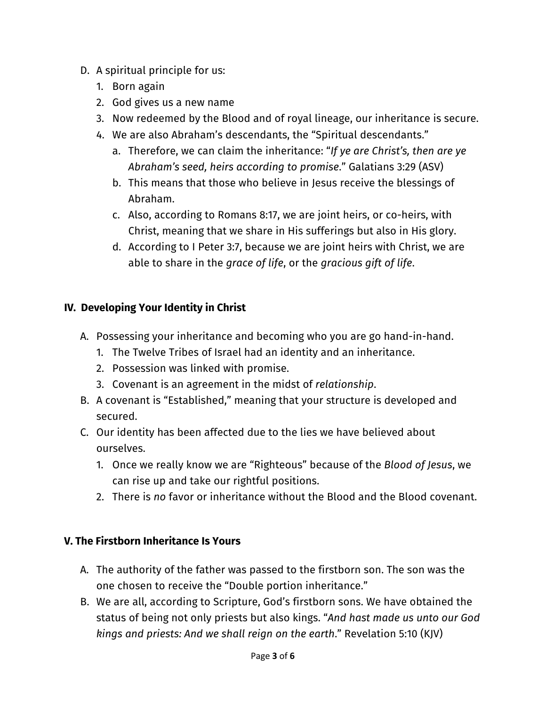- D. A spiritual principle for us:
	- 1. Born again
	- 2. God gives us a new name
	- 3. Now redeemed by the Blood and of royal lineage, our inheritance is secure.
	- 4. We are also Abraham's descendants, the "Spiritual descendants."
		- a. Therefore, we can claim the inheritance: "*If ye are Christ's, then are ye Abraham's seed, heirs according to promise*." Galatians 3:29 (ASV)
		- b. This means that those who believe in Jesus receive the blessings of Abraham.
		- c. Also, according to Romans 8:17, we are joint heirs, or co-heirs, with Christ, meaning that we share in His sufferings but also in His glory.
		- d. According to I Peter 3:7, because we are joint heirs with Christ, we are able to share in the *grace of life*, or the *gracious gift of life*.

# **IV. Developing Your Identity in Christ**

- A. Possessing your inheritance and becoming who you are go hand-in-hand.
	- 1. The Twelve Tribes of Israel had an identity and an inheritance.
	- 2. Possession was linked with promise.
	- 3. Covenant is an agreement in the midst of *relationship*.
- B. A covenant is "Established," meaning that your structure is developed and secured.
- C. Our identity has been affected due to the lies we have believed about ourselves.
	- 1. Once we really know we are "Righteous" because of the *Blood of Jesus*, we can rise up and take our rightful positions.
	- 2. There is *no* favor or inheritance without the Blood and the Blood covenant.

## **V. The Firstborn Inheritance Is Yours**

- A. The authority of the father was passed to the firstborn son. The son was the one chosen to receive the "Double portion inheritance."
- B. We are all, according to Scripture, God's firstborn sons. We have obtained the status of being not only priests but also kings. "*And hast made us unto our God kings and priests: And we shall reign on the earth*." Revelation 5:10 (KJV)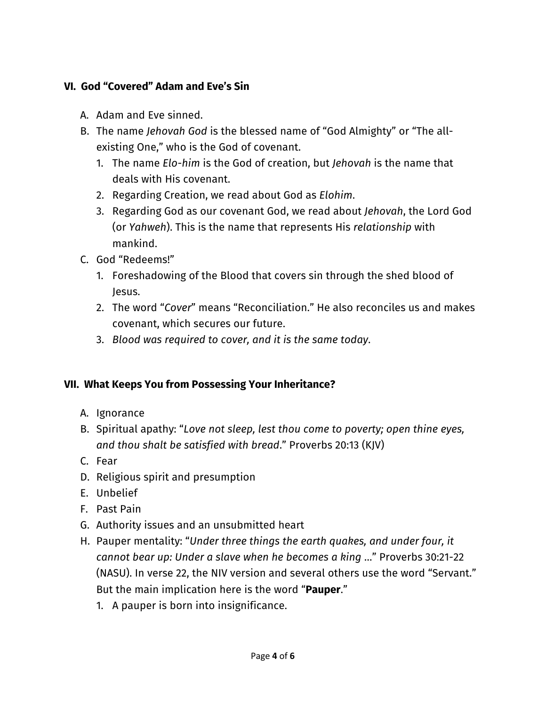# **VI. God "Covered" Adam and Eve's Sin**

- A. Adam and Eve sinned.
- B. The name *Jehovah God* is the blessed name of "God Almighty" or "The allexisting One," who is the God of covenant.
	- 1. The name *Elo-him* is the God of creation, but *Jehovah* is the name that deals with His covenant.
	- 2. Regarding Creation, we read about God as *Elohim*.
	- 3. Regarding God as our covenant God, we read about *Jehovah*, the Lord God (or *Yahweh*). This is the name that represents His *relationship* with mankind.
- C. God "Redeems!"
	- 1. Foreshadowing of the Blood that covers sin through the shed blood of Jesus.
	- 2. The word "*Cover*" means "Reconciliation." He also reconciles us and makes covenant, which secures our future.
	- 3. *Blood was required to cover, and it is the same today*.

## **VII. What Keeps You from Possessing Your Inheritance?**

- A. Ignorance
- B. Spiritual apathy: "*Love not sleep, lest thou come to poverty; open thine eyes, and thou shalt be satisfied with bread*." Proverbs 20:13 (KJV)
- C. Fear
- D. Religious spirit and presumption
- E. Unbelief
- F. Past Pain
- G. Authority issues and an unsubmitted heart
- H. Pauper mentality: "*Under three things the earth quakes, and under four, it cannot bear up: Under a slave when he becomes a king* …" Proverbs 30:21-22 (NASU). In verse 22, the NIV version and several others use the word "Servant." But the main implication here is the word "**Pauper**."
	- 1. A pauper is born into insignificance.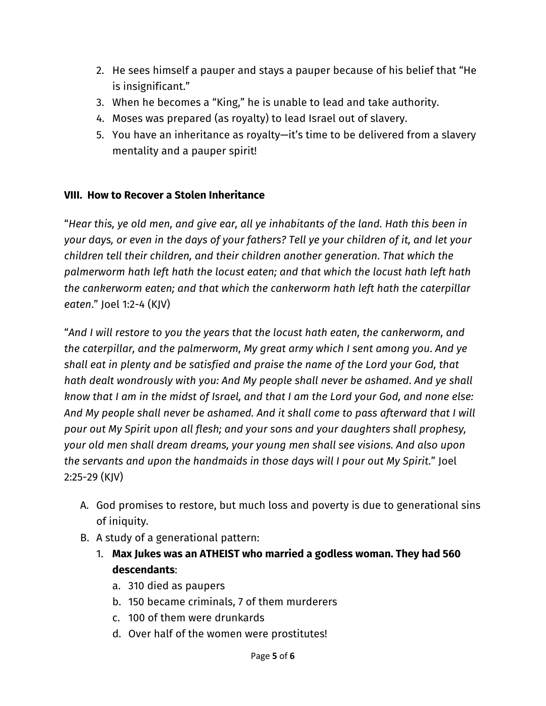- 2. He sees himself a pauper and stays a pauper because of his belief that "He is insignificant."
- 3. When he becomes a "King," he is unable to lead and take authority.
- 4. Moses was prepared (as royalty) to lead Israel out of slavery.
- 5. You have an inheritance as royalty—it's time to be delivered from a slavery mentality and a pauper spirit!

# **VIII. How to Recover a Stolen Inheritance**

"*Hear this, ye old men, and give ear, all ye inhabitants of the land. Hath this been in your days, or even in the days of your fathers? Tell ye your children of it, and let your children tell their children, and their children another generation*. *That which the palmerworm hath left hath the locust eaten; and that which the locust hath left hath the cankerworm eaten; and that which the cankerworm hath left hath the caterpillar eaten*." Joel 1:2-4 (KJV)

"*And I will restore to you the years that the locust hath eaten, the cankerworm, and the caterpillar, and the palmerworm, My great army which I sent among you*. *And ye shall eat in plenty and be satisfied and praise the name of the Lord your God, that hath dealt wondrously with you: And My people shall never be ashamed*. *And ye shall know that I am in the midst of Israel, and that I am the Lord your God, and none else: And My people shall never be ashamed. And it shall come to pass afterward that I will pour out My Spirit upon all flesh; and your sons and your daughters shall prophesy, your old men shall dream dreams, your young men shall see visions. And also upon the servants and upon the handmaids in those days will I pour out My Spirit*." Joel 2:25-29 (KJV)

- A. God promises to restore, but much loss and poverty is due to generational sins of iniquity.
- B. A study of a generational pattern:
	- 1. **Max Jukes was an ATHEIST who married a godless woman. They had 560 descendants**:
		- a. 310 died as paupers
		- b. 150 became criminals, 7 of them murderers
		- c. 100 of them were drunkards
		- d. Over half of the women were prostitutes!